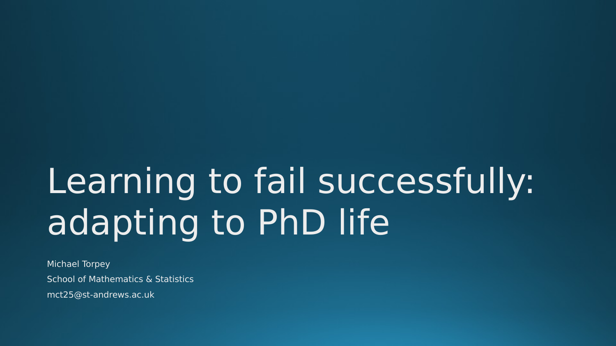## Learning to fail successfully: adapting to PhD life

Michael Torpey School of Mathematics & Statistics mct25@st-andrews.ac.uk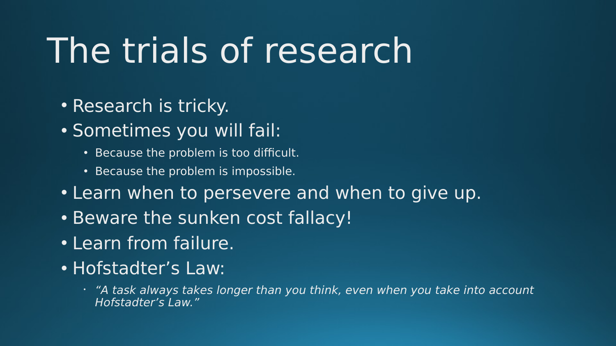#### The trials of research

- Research is tricky.
- Sometimes you will fail:
	- Because the problem is too difficult.
	- Because the problem is impossible.
- Learn when to persevere and when to give up.
- Beware the sunken cost fallacy!
- Learn from failure.
- Hofstadter's Law:
	- "A task always takes longer than you think, even when you take into account Hofstadter's Law."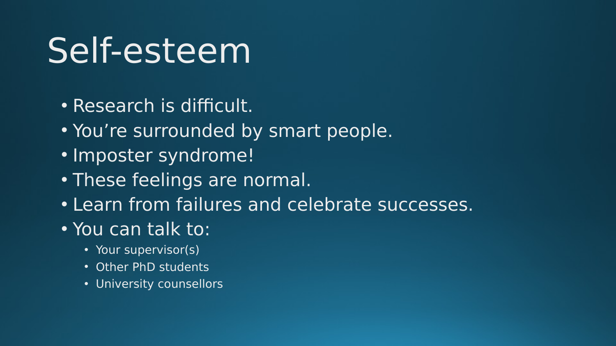#### Self-esteem

- Research is difficult.
- You're surrounded by smart people.
- Imposter syndrome!
- These feelings are normal.
- Learn from failures and celebrate successes.
- You can talk to:
	- Your supervisor(s)
	- Other PhD students
	- University counsellors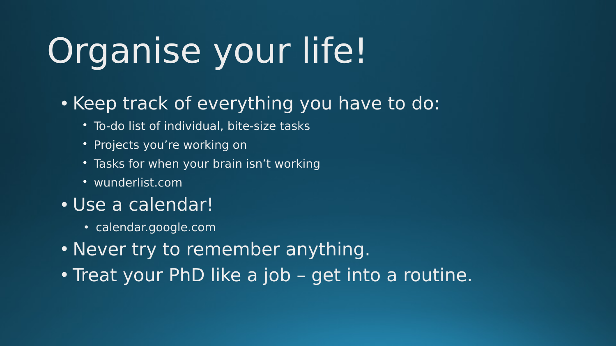# Organise your life!

- Keep track of everything you have to do:
	- To-do list of individual, bite-size tasks
	- Projects you're working on
	- Tasks for when your brain isn't working
	- wunderlist.com
- Use a calendar!
	- calendar.google.com
- Never try to remember anything.
- Treat your PhD like a job get into a routine.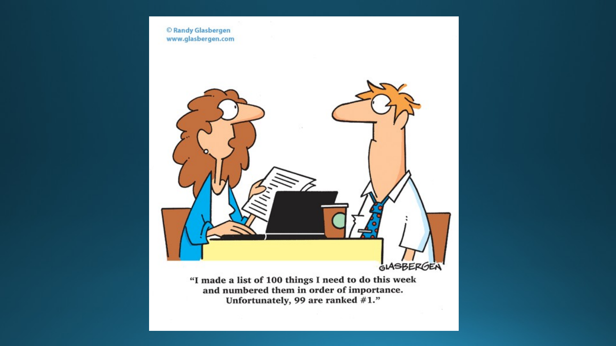

Unfortunately, 99 are ranked #1."

- 12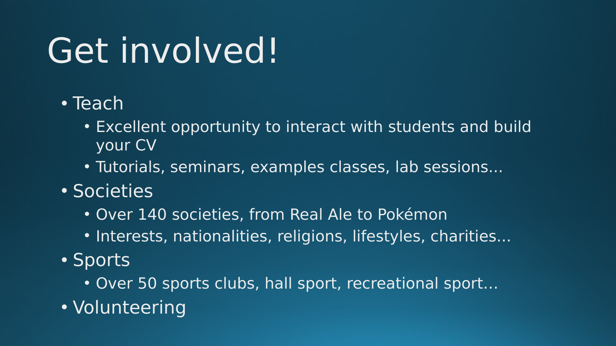### Get involved!

- Teach
	- Excellent opportunity to interact with students and build your CV
	- Tutorials, seminars, examples classes, lab sessions...
- Societies
	- Over 140 societies, from Real Ale to Pokémon
	- Interests, nationalities, religions, lifestyles, charities...
- Sports
	- Over 50 sports clubs, hall sport, recreational sport…
- Volunteering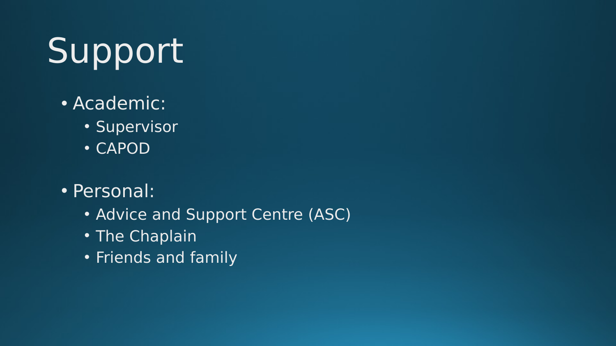# Support

- Academic:
	- Supervisor
	- CAPOD
- Personal:
	- Advice and Support Centre (ASC)
	- The Chaplain
	- Friends and family